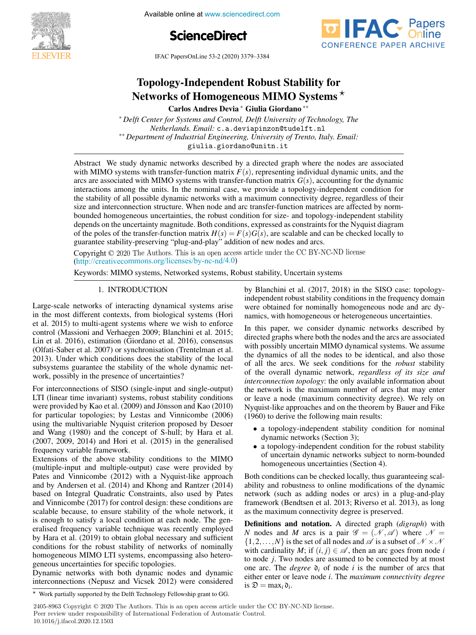





IFAC PapersOnLine 53-2 (2020) 3379–3384  $T_{\text{NLO}}$  Independent Robust  $T_{\text{NLO}}$  is  $T_{\text{NLO}}$ 

#### Topology-Independent Robust Stability for Topology-Independent Robust Stability for Carlos Andres Devia ∗ Giulia Giordano ∗∗ Carlos Andres Devia ∗ Giulia Giordano ∗∗ Carlos Andres Devia ∗ Giulia Giordano ∗∗ Networks of Homogeneous MIMO Systems<sup>\*</sup> Topology-Independent Robust Stability for  $\sim$  Networks of Homogeneous MIMO Systems  $\star$ Topology-Independent Robust Stability for

Deep center for systems and control, Deffi Only by Remotogy, The<br>Netherlands. Email: c.a.deviapinzon@tudelft.nl <sup>24</sup> Department of Industrial Engineering, University of Trento, Italy. Email: \* Delft Center for Systems and Control, Delft University of Technology, The

Department of maastriat Engineering, Oniversity of Tremo, Hary. Email.<br>giulia.giordano@unitn.it  $\frac{d}{dx}$ ∗∗ *Department of Industrial Engineering, University of Trento, Italy. Email:* giulia.giordano@unita.giordano@unita.giordano@unita.giordano@unita.giordano@unita.giordano@unita.giordano@unit<br>.giordano@unita.giordano@unita.giordano@unita.giordano@unita.giordano@unita.giordano@unita.giordano@unita.gior

with MIMO systems with transfer-function matrix  $F(s)$ , representing individual dynamic units, and the with WHWO systems with transfer-function matrix  $P(s)$ , representing mutvidual dynamic units, and the<br>arcs are associated with MIMO systems with transfer-function matrix  $G(s)$ , accounting for the dynamic arcs are associated with MIMO systems with transfer-function matrix  $G(s)$ , accounting for the dynamic<br>interactions among the units. In the nominal case, we provide a topology-independent condition for<br>the stability of all the stability of all possible dynamic networks with a maximum connectivity degree, regardless of their size and interconnection structure. When node and arc transfer-function matrices are affected by normsize and interconnection structure. When node and arc transfer-function matrices are affected by norm-<br>bounded homogeneous uncertainties, the robust condition for size- and topology-independent stability depends on the uncertainty magnitude. Both conditions, expressed as constraints for the Nyquist diagram of the poles of the transfer-function matrix  $H(s) = F(s)G(s)$ , are scalable and can be checked locally to guarantee stability-preserving "plug-and-play" addition of new nodes and arcs. Abstract We study dynamic networks described by a directed graph where the nodes are associated interactions among the units. In the unit state when the unit condition to the unit of the unit of the unit of the unit of the units. Then we provide a topology-independent condition for the units. The units of the units o bounded nonlogeneous uncertainties, the foodst condition for size- and topology-independent stability<br>depends on the uncertainty magnitude. Both conditions, expressed as constraints for the Nyquist diagram begines un uncertainty inaginate. Bout conditions, expressed as constants for the river stability of the robust condition for size-  $T(s)C(s)$  are conditioned and son be absolved legally to or the policies of the unantent-theorem inducts  $H(s) = F(s)Q(s)$ , at  $s$  can actually diagrams for the Nyquist diagrams for the Nyquist diagrams for the Nyquist diagrams for the Nyquist diagrams for the Nyquist diagrams of th interactions among the units. In the nominal case, we provide a topology-independent condition for the stability of all possible dynamic networks with a maximum connectivity degree, regardless of their of the poles of the transfer-function matrix  $H(s) = F(s)G(s)$ , are scalable and can be checked locally to guarantee stability-preserving "plug-and-play" addition of new nodes and arcs. guarantee stability-preserving "plug-and-play" addition of new nodes and arcs.

Copyright © 2020 The Authors. This is an open access article under the CC BY-NC-ND license  $(\text{http://creativecommons.org/licenses/by-nc-nd/4.0})$  $K_{\text{eff}}$  systems of  $N_{\text{eff}}$  systems,  $R_{\text{eff}}$  systems,  $R_{\text{eff}}$  systems,  $R_{\text{eff}}$  systems,  $N_{\text{eff}}$  systems,  $N_{\text{eff}}$  systems,  $N_{\text{eff}}$  systems,  $N_{\text{eff}}$  systems,  $N_{\text{eff}}$  systems,  $N_{\text{eff}}$  systems,  $N_{\text{eff}}$ 

Keywords: MIMO systems, Networked systems, Robust stability, Uncertain systems

# 1. INTRODUCTION 1. INTRODUCTION 1. INTRODUCTION 1. INTRODUCTION 1. INTRODUCTION

Large-scale networks of interacting dynamical systems arise Early search etworks of metaleums dynamical systems anset et al. 2015) to multi-agent systems where we wish to enforce et al. 2013) to multi-agent systems where we wish to emotion<br>control (Massioni and Verhaegen 2009; Blanchini et al. 2015; Lin et al. 2016), estimation (Giordano et al. 2016), consensus<br>Lin et al. 2016), estimation (Giordano et al. 2016), consensus Collati-Saber et al. 2007) or synchronisation (Trentelman et al. (Onau-saber et al.  $2007$ ) of synchronisation (Tremellian et al. 2013). Under which conditions does the stability of the local subsystems guarantee the stability of the whole dynamic net-<br>subsystems guarantee the stability of the whole dynamic network, possibly in the presence of uncertainties? et al. 2015) to multi-agent systems where we wish to enforce  $\mu$  control (Massimian Control and Verhaeles (Technology et al. 2016; Except 2009; Blanchine et al. 2009; Blanchini et al. 2009; Blanchini et al. 2009; Blanchini et al. 2009; Blanchini et al. 2009; Blanchini et al. 2009; Lin et al. 2016), estimation (Giordano et al. 2016), consensus subsystems guarantee the stability of the whole dynamic network, possibly in the presence of uncertainties. work, possibly in the presence of uncertainties? Large-scale networks of interacting dynamical systems arise work, possibly in the presence of uncertainties.

For interconnections of SISO (single-input and single-output) LTI (linear time invariant) systems, robust stability conditions were provided by Kao et al.  $(2009)$  and Jonsson and Kao  $(2010)$ were provided by Kao et al. (2009) and Johnston and Kao (2010)<br>for particular topologies; by Lestas and Vinnicombe (2006) for particular topologies, by Lestas and Vinnicolnoe (2000)<br>using the multivariable Nyquist criterion proposed by Desoer and Wang (1980) and the concept of S-hull; by Hara et al.<br>(2007, 2009, 2014) and Hari et al. (2015) in the expenditure  $(2007, 2009, 2014)$  and Hori et al.  $(2015)$  in the generalised frequency variable framework. frequency variable framework. (2007, 2009, 2014) and Hori et al. (2015) in the generalised frequency variable framework. Extensions of the above stability conditions to the MIMO ETT (linear time invariant) systems, robust stability conditions<br>were provided by Kao et al. (2009) and Jönsson and Kao (2010)  $f_{\text{max}}$  (1006) and the concept of  $S$  bull, by Hence (2006) for particular topologies; by Lestas and Vinnicombe (2006)<br>using the multivariable Nyquist criterion proposed by Desoer and Wang (1980) and the concept of S-hull; by Hara et al.  $(2007, 2009, 2014)$  and Hori et al.  $(2015)$  in the generalised

Extensions of the above stability conditions to the MIMO Extensions of the above stability conditions to the MINO Pates and Vinnicombe (2012) with a Nyquist-like approach Faces and Vinnicolnoe (2012) with a Tyyquist-like approach<br>and by Andersen et al. (2014) and Khong and Rantzer (2014) based on Integral Quadratic Constraints, also used by Pates and Vinnicombe ( $2014$ ) and Knong and Knong and Knong approach ( $2014$ ) and Vinnicombe (2017) for control design: these conditions are and vinneombe  $(2017)$  for control design, these conditions are<br>scalable because, to ensure stability of the whole network, it is enough to satisfy a local condition at each node. The generalised frequency variable technique was recently employed by Hara et al. (2019) to obtain global necessary and sufficiently employed conditions for the robust stability of networks of nominally<br>hara expression  $\text{MMO}$  is the continuous propriational sufficient homogeneous MIMO LTI systems, encompassing also hetero-<br>conserve weartsitting for anguific tenal pieces Represents the ETT systems, cheen passing also helds (indition-liptule and matter-output) case were provided by<br>Pates and Vinnicombe (2012) with a Nyquist-like approach is enough to sailsry a local condition at each node. The generalised frequency variable technique was recently employed based on integral Quadrant Constraints, also used by Fates by rial of all  $(2019)$  to obtain grobal necessary and sumerint  $\frac{d}{dx}$  on Integral Quadratic Constraints, also used by Pates eralised frequency variable technique was recently employed<br>by Hara et al. (2019) to obtain global necessary and sufficient  $\mathcal{L}_{\text{SUSY}}$  and  $\mathcal{L}_{\text{SUSY}}$  to obtain global necessary and sufficient eonditions for the robust stability of networks of nominally<br>homogeneous MIMO LTI systems, encompassing also hetero-

geneous uncertainties for specific topologies.<br>Dynamic networks with both dynamic nodes and dynamic interconnections (Nepusz and Vicsek 2012) were considered  $Dy$ hanne networks with both dynamic not geneous uncertainties for specific topologies.<br>Dynamic networks with both dynamic nodes and dynamic Dynamic networks with both dynamic nodes and dynamic<br>interconnections (Nenusz and Vicsek 2012) were considered interconnections (Nepusz and Vicsek 2012) were considered interconnections (Nepusz and Vicsek 2012) were considered  $\frac{M}{2012}$  were considered  $\frac{M}{2012}$ 

by Blanchin et al. (2017, 2018) in the SISO case. topology-<br>independent robust stability conditions in the frequency domain independent robust stability conditions in the frequency domain were obtained for nominally homogeneous node and arc dywere obtained for hominary nonogeneous node and are dynamics, with homogeneous or heterogeneous uncertainties. by Blanchini et al. (2017, 2018) in the SISO case: topology-by Blanchini et al. (2017, 2018) in the SISO case: topology-by Blanchini et al. (2017, 2018) in the SISO case: topology-Keywords: MIMO systems, Networked systems, Robust stability, Uncertain systems nannes, with nomogeneous or neterogeneous uncertainties. were obtained for nominary homogeneous node and are dynamics, with homogeneous or heterogeneous uncertainties. namics, with homogeneous or heterogeneous uncertainties. by Blanchini et al.  $(2017, 2018)$  in the SISO case: topology-In the networks of the experience internatives.

In this paper, we consider dynamic networks described by directed graphs where both the nodes and the arcs are associated<br>with no said by we contain MMO dynamical surfaces. We convey with possibly uncertain MIMO dynamical systems. We assume the dynamics of all the nodes to be identical, and also those<br>of all the gree. We assume conditions for the metuat atability of all the arcs. We seek conditions for the *robust* stability of the overall dynamic network, *regardless of its size and* of the overall dynamic hetwork, *regardless of its size and*<br>*interconnection topology*: the only available information about the network is the maximum number of arcs that may enter or leaves a node (maximum number or arcs that may enter<br>or leave a node (maximum connectivity degree). We rely on Nyquist-like approaches and on the theorem by Bauer and Fike  $(1060)$  to degree the following major graphs.  $(1960)$  to derive the following main results: In this paper, we consider dynamic networks described by directed graphs where both the nodes and the arcs are associated directed graphs where both the nodes and the arcs are associated<br>with possibly uncertain MIMO dynamical systems. We assume with possibly uncertain MIMO dynamical systems. We assume the dynamics of all the nodes to be identical, and also those or leave a node (maximum connectivity degree). We rely on<br>Nyquist-like approaches and on the theorem by Bauer and Fike Nyquist-like approaches and on the theorem by Bauer and Fike (1960) to derive the following main results: (1960) to derive the following main results:

- a topology-independent stability condition for nominal<br>dynamic networks (Section 3): dynamic networks (Section 3); dynamic networks (Section 3); • a topology-independent stability condition for nominal dynamic networks (Section 3);
	- a topology-independent condition for the found stability<br>of uncertain dynamic networks subject to norm-bounded of uncertain dynamic networks subject to norm-bounded<br>homogeneous uncertainties (Section 4). dynamic networks (Section 3);<br>• a topology-independent condition for the robust stability of uncertain dynamic networks subject to norm-bounded homogeneous uncertainties (Section 4). homogeneous uncertainties (Section 4).

Both conditions can be checked locally, thus guaranteeing scalboth conditions can be encoded foculty, thus gatalanteeing sear<br>ability and robustness to online modifications of the dynamic ability and robustness to offline inodifications of the dynamic<br>network (such as adding nodes or arcs) in a plug-and-play framework (Bendtsen et al. 2013; Riverso et al. 2013), as long Trainework (Bendisen et al. 2013, Kivelso et al. 2013), as long<br>as the maximum connectivity degree is preserved.  $\frac{1}{2}$  and  $\frac{1}{2}$  and  $\frac{1}{2}$  and  $\frac{1}{2}$  and  $\frac{1}{2}$  and  $\frac{1}{2}$  and  $\frac{1}{2}$  and  $\frac{1}{2}$  and  $\frac{1}{2}$  and  $\frac{1}{2}$  and  $\frac{1}{2}$  and  $\frac{1}{2}$  and  $\frac{1}{2}$  and  $\frac{1}{2}$  and  $\frac{1}{2}$  and  $\frac{1}{2}$  a network (such as adding nodes or arcs) in a plug-and-play as the maximum connectivity degree is preserved. as the maximum connectivity degree is preserved. Both conditions can be checked locally, thus guaranteeing scaldo the maximum connectivity degree to preserved.

**Definitions and notation.** A directed graph (*digraph*) with N hodes and M arcs is a pair  $\mathcal{G} = (\mathcal{N}, \mathcal{A})$  where  $\mathcal{N} =$ <br>{1,2,...,N} is the set of all nodes and  $\mathcal{A}$  is a subset of  $\mathcal{N} \times \mathcal{N}$ {1, 2, ..., *N*} is the set of all holds and  $\mathscr A$  is a subset of  $\mathscr N \times \mathscr N$ <br>with cardinality *M*; if  $(i, j) \in \mathscr A$ , then an arc goes from node *i* with calculating  $M$ , if  $(t, j) \in \mathcal{B}$ , then an arc goes from hote *t* to node *j*. Two nodes are assumed to be connected by at most one arc. The *degree*  $\mathbf{v}_i$  of node *i* is the number of arcs that either enter or leave node *i*. The *maximum connectivity degree* is  $\mathfrak{D} = \max_i \mathfrak{d}_i$ . N nodes and M arcs is a pair  $\mathscr{G} = (\mathscr{N}, \mathscr{A})$  where  $\mathscr{N} = (\mathscr{N}, \mathscr{A})$ to node *f*. Two nodes are assumed to be connected by at most<br>one arc. The *degree*  $\mathfrak{d}_i$  of node *i* is the number of arcs that<br>either enter or leave node *i*. The *maximum connectivity degree* either enter or leave node *i*. The *maximum connectivity degree* either enter or leave node *i*. The *maximum connectivity degree*  $\sum$  = max<sub>*i*</sub> $\sum$ *i*.

Peer review under responsibility of International Federation of Automatic Control.

 $*$  Work partially supported by the Delft Technology Fellowship grant to GG.  $\overline{\phantom{a}}$  Work partially supported by the Delft Technology Fellowship grant to GG.

<sup>2405-8963</sup> Copyright © 2020 The Authors. This is an open access article under the CC BY-NC-ND license.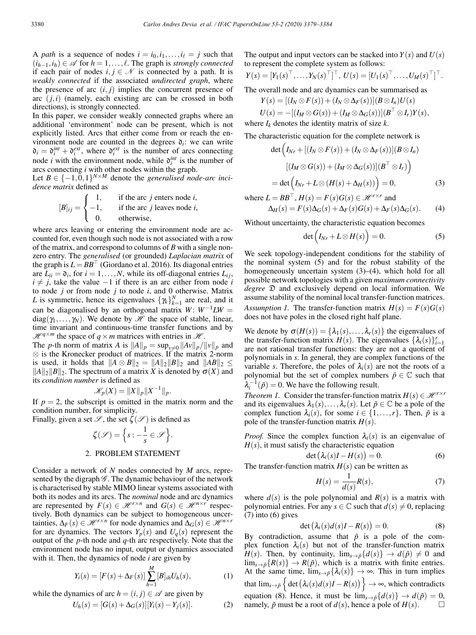A *path* is a sequence of nodes  $i = i_0, i_1, \ldots, i_\ell = j$  such that  $(i<sub>h−1</sub>, i<sub>h</sub>) ∈  $\mathscr A$  for  $h = 1, \ldots, \ell$ . The graph is *strongly connected*$ if each pair of nodes  $i, j \in \mathcal{N}$  is connected by a path. It is *weakly connected* if the associated *undirected graph*, where the presence of arc  $(i, j)$  implies the concurrent presence of arc (*j*,*i*) (namely, each existing arc can be crossed in both directions), is strongly connected.

In this paper, we consider weakly connected graphs where an additional 'environment' node can be present, which is not explicitly listed. Arcs that either come from or reach the environment node are counted in the degrees  $\mathfrak{d}_i$ : we can write  $\mathfrak{d}_i = \mathfrak{d}_i^{int} + \mathfrak{d}_i^{ext}$ , where  $\mathfrak{d}_i^{ext}$  is the number of arcs connecting node *i* with the environment node, while  $\mathfrak{d}_i^{int}$  is the number of arcs connecting *i* with other nodes within the graph.

Let  $B \in \{-1,0,1\}^{N \times M}$  denote the *generalised node-arc incidence matrix* defined as

$$
[B]_{ij} = \begin{cases} 1, & \text{if the arc } j \text{ enters node } i, \\ -1, & \text{if the arc } j \text{ leaves node } i, \\ 0, & \text{otherwise,} \end{cases}
$$

where arcs leaving or entering the environment node are accounted for, even though such node is not associated with a row of the matrix, and correspond to columns of *B* with a single nonzero entry. The *generalised* (or grounded) *Laplacian matrix* of the graph is  $L = BB<sup>T</sup>$  (Giordano et al. 2016). Its diagonal entries are  $L_{ii} = \mathfrak{d}_i$ , for  $i = 1, ..., N$ , while its off-diagonal entries  $L_{ij}$ ,  $i \neq j$ , take the value −1 if there is an arc either from node *i* to node *j* or from node *j* to node *i*, and 0 otherwise. Matrix *L* is symmetric, hence its eigenvalues  $\{\gamma_k\}_{k=1}^N$  are real, and it can be diagonalised by an orthogonal matrix  $W: W^{-1}LW =$  $diag(\gamma_1,...,\gamma_N)$ . We denote by *H* the space of stable, linear, time invariant and continuous-time transfer functions and by  $\mathcal{H}^{q \times m}$  the space of  $q \times m$  matrices with entries in  $\mathcal{H}$ .

The *p*-th norm of matrix *A* is  $||A||_p = \sup_{v \neq 0} ||Av||_p / ||v||_p$  and ⊗ is the Kronecker product of matrices. If the matrix 2-norm is used, it holds that  $||A \otimes B||_2 = ||A||_2 ||B||_2$  and  $||AB||_2 \le$  $||A||_2||B||_2$ . The spectrum of a matrix *X* is denoted by  $\sigma(X)$  and its *condition number* is defined as

$$
\mathscr{K}_p(X) = \|X\|_p \|X^{-1}\|_p.
$$

If  $p = 2$ , the subscript is omitted in the matrix norm and the condition number, for simplicity.

Finally, given a set  $\mathscr{S}$ , the set  $\zeta(\mathscr{S})$  is defined as

$$
\zeta(\mathscr{S}) = \left\{ s : -\frac{1}{s} \in \mathscr{S} \right\}.
$$

### 2. PROBLEM STATEMENT

Consider a network of *N* nodes connected by *M* arcs, represented by the digraph  $\mathscr G$ . The dynamic behaviour of the network is characterised by stable MIMO linear systems associated with both its nodes and its arcs. The *nominal* node and arc dynamics are represented by  $F(s) \in \mathcal{H}^{r \times n}$  and  $G(s) \in \mathcal{H}^{n \times r}$  respectively. Both dynamics can be subject to homogeneous uncertainties,  $\Delta_F(s) \in \mathcal{H}^{r \times n}$  for node dynamics and  $\Delta_G(s) \in \mathcal{H}^{n \times r}$ for arc dynamics. The vectors  $Y_p(s)$  and  $U_q(s)$  represent the output of the *p*-th node and *q*-th arc respectively. Note that the environment node has no input, output or dynamics associated with it. Then, the dynamics of node *i* are given by

$$
Y_i(s) = [F(s) + \Delta_F(s)] \sum_{h=1}^{M} [B]_{ih} U_h(s), \qquad (1)
$$

while the dynamics of arc  $h = (i, j) \in \mathcal{A}$  are given by

$$
U_h(s) = [G(s) + \Delta_G(s)][Y_i(s) - Y_j(s)].
$$
\n(2)

The output and input vectors can be stacked into  $Y(s)$  and  $U(s)$ to represent the complete system as follows:

$$
Y(s) = [Y_1(s)^{\top}, \ldots, Y_N(s)^{\top}]^{\top}, U(s) = [U_1(s)^{\top}, \ldots, U_M(s)^{\top}]^{\top}.
$$

The overall node and arc dynamics can be summarised as

 $Y(s) = [(I_N \otimes F(s)) + (I_N \otimes \Delta F(s))](B \otimes I_n)U(s)$ 

$$
U(s) = -[(I_M \otimes G(s)) + (I_M \otimes \Delta_G(s))][B^\top \otimes I_r)Y(s),
$$
  
where  $I_k$  denotes the identity matrix of size k.

The characteristic equation for the complete network is

$$
\det \left( I_{Nr} + [(I_N \otimes F(s)) + (I_N \otimes \Delta_F(s))](B \otimes I_n) \right)
$$

$$
[(I_M \otimes G(s)) + (I_M \otimes \Delta_G(s))](B^{\top} \otimes I_r)\right)
$$

$$
= \det \left( I_{Nr} + L \otimes (H(s) + \Delta_H(s)) \right) = 0,
$$
(3)

where  $L = BB^{\top}, H(s) = F(s)G(s) \in \mathcal{H}^{r \times r}$  and  $\Delta_H(s) = F(s)\Delta_G(s) + \Delta_F(s)G(s) + \Delta_F(s)\Delta_G(s)$ . (4)

Without uncertainty, the characteristic equation becomes

$$
\det\Big(I_{Nr} + L\otimes H(s)\Big) = 0. \tag{5}
$$

We seek topology-independent conditions for the stability of the nominal system (5) and for the robust stability of the homogeneously uncertain system  $(3)$ – $(4)$ , which hold for all possible network topologies with a given *maximum connectivity degree* D and exclusively depend on local information. We assume stability of the nominal local transfer-function matrices. *Assumption 1.* The transfer-function matrix  $H(s) = F(s)G(s)$ does not have poles in the closed right half plane.

We denote by  $\sigma(H(s)) = {\lambda_1(s), \ldots, \lambda_r(s)}$  the eigenvalues of the transfer-function matrix *H*(*s*). The eigenvalues  $\{\lambda_i(s)\}_{i=1}^r$ are not rational transfer functions: they are not a quotient of polynomials in *s*. In general, they are complex functions of the variable *s*. Therefore, the poles of  $\lambda_i(s)$  are not the roots of a polynomial but the set of complex numbers  $\tilde{p} \in \mathbb{C}$  such that  $\lambda_i^{-1}(\tilde{p}) = 0$ . We have the following result.

*Theorem 1.* Consider the transfer-function matrix  $H(s) \in \mathcal{H}^{r \times r}$ and its eigenvalues  $\lambda_1(s), \ldots, \lambda_r(s)$ . Let  $\tilde{p} \in \mathbb{C}$  be a pole of the complex function  $\lambda_i(s)$ , for some  $i \in \{1, \ldots, r\}$ . Then,  $\tilde{p}$  is a pole of the transfer-function matrix  $H(s)$ .

*Proof.* Since the complex function  $\lambda_i(s)$  is an eigenvalue of  $H(s)$ , it must satisfy the characteristic equation

$$
\det\left(\lambda_i(s)I - H(s)\right) = 0. \tag{6}
$$

The transfer-function matrix  $H(s)$  can be written as

$$
H(s) = \frac{1}{d(s)}R(s),\tag{7}
$$

where  $d(s)$  is the pole polynomial and  $R(s)$  is a matrix with polynomial entries. For any  $s \in \mathbb{C}$  such that  $d(s) \neq 0$ , replacing  $(7)$  into  $(6)$  gives

$$
\det\left(\lambda_i(s)d(s)I - R(s)\right) = 0.
$$
 (8)

By contradiction, assume that  $\tilde{p}$  is a pole of the complex function  $\lambda_i(s)$  but not of the transfer-function matrix *H*(*s*). Then, by continuity,  $\lim_{s\to\tilde{p}}\{d(s)\}\to d(\tilde{p})\neq 0$  and  $\lim_{s\to\tilde{p}}\{R(s)\}\to R(\tilde{p})$ , which is a matrix with finite entries. At the same time,  $\lim_{s\to \tilde{p}} {\lambda_i(s)} \to \infty$ . This in turn implies that  $\lim_{s\to \tilde{p}}\left\{\det(\lambda_i(s)d(s)I - R(s))\right\} \to \infty$ , which contradicts equation (8). Hence, it must be  $\lim_{s\to \tilde{p}} {d(s)} \to d(\tilde{p}) = 0$ , namely  $\tilde{p}$  must be a root of  $d(s)$  hence a pole of  $H(s)$ namely,  $\tilde{p}$  must be a root of  $d(s)$ , hence a pole of  $H(s)$ .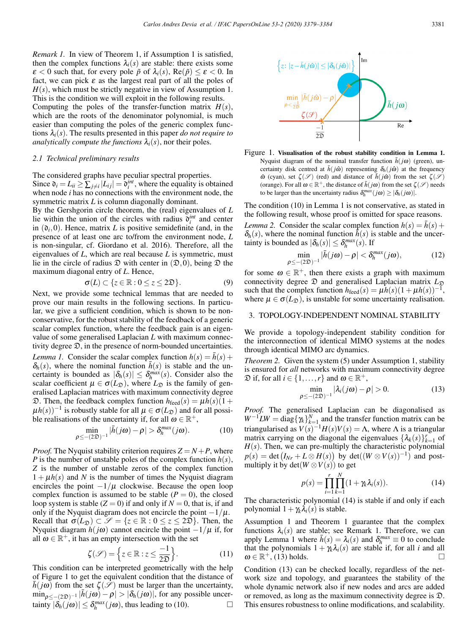*Remark 1.* In view of Theorem 1, if Assumption 1 is satisfied, then the complex functions  $\lambda_i(s)$  are stable: there exists some  $\epsilon < 0$  such that, for every pole  $\tilde{p}$  of  $\lambda_i(s)$ , Re( $\tilde{p}$ )  $\leq \epsilon < 0$ . In fact, we can pick  $\varepsilon$  as the largest real part of all the poles of  $H(s)$ , which must be strictly negative in view of Assumption 1. This is the condition we will exploit in the following results. Computing the poles of the transfer-function matrix  $H(s)$ , which are the roots of the denominator polynomial, is much easier than computing the poles of the generic complex functions  $\lambda_i(s)$ . The results presented in this paper *do not require to analytically compute the functions*  $\lambda_i(s)$ , nor their poles.

#### *2.1 Technical preliminary results*

The considered graphs have peculiar spectral properties. Since  $\mathfrak{d}_i = L_{ii} \ge \sum_{j \neq i} |L_{ij}| = \mathfrak{d}_i^{int}$ , where the equality is obtained when node *i* has no connections with the environment node, the symmetric matrix *L* is column diagonally dominant.

By the Gershgorin circle theorem, the (real) eigenvalues of *L* lie within the union of the circles with radius  $\tilde{\mathfrak{d}}_i^{int}$  and center in  $(\mathfrak{d}_i,0)$ . Hence, matrix *L* is positive semidefinite (and, in the presence of at least one arc to/from the environment node, *L* is non-singular, cf. Giordano et al. 2016). Therefore, all the eigenvalues of *L*, which are real because *L* is symmetric, must lie in the circle of radius  $\mathfrak D$  with center in  $(\mathfrak D,0)$ , being  $\mathfrak D$  the maximum diagonal entry of *L*. Hence,

$$
\sigma(L) \subset \{z \in \mathbb{R} : 0 \le z \le 2\mathfrak{D}\}.
$$
 (9)

Next, we provide some technical lemmas that are needed to prove our main results in the following sections. In particular, we give a sufficient condition, which is shown to be nonconservative, for the robust stability of the feedback of a generic scalar complex function, where the feedback gain is an eigenvalue of some generalised Laplacian *L* with maximum connectivity degree  $\mathfrak{D}$ , in the presence of norm-bounded uncertainties. *Lemma 1.* Consider the scalar complex function  $h(s) = \bar{h}(s) +$  $\delta_h(s)$ , where the nominal function  $\bar{h}(s)$  is stable and the uncertainty is bounded as  $|\delta_h(s)| \leq \delta_h^{max}(s)$ . Consider also the scalar coefficient  $\mu \in \sigma(L_{\mathfrak{D}})$ , where  $L_{\mathfrak{D}}$  is the family of generalised Laplacian matrices with maximum connectivity degree D. Then, the feedback complex function  $h_{\text{feed}}(s) = \mu h(s)(1 + \mu s)$  $\mu h(s)$ <sup>-1</sup> is robustly stable for all  $\mu \in \sigma(L_{\mathfrak{D}})$  and for all possible realisations of the uncertainty if, for all  $\omega \in \mathbb{R}^+$ ,

$$
\min_{\rho \leq - (2\mathfrak{D})^{-1}} |\bar{h}(j\omega) - \rho| > \delta_h^{max}(j\omega).
$$
 (10)

*Proof.* The Nyquist stability criterion requires  $Z = N + P$ , where *P* is the number of unstable poles of the complex function *h*(*s*), *Z* is the number of unstable zeros of the complex function  $1 + \mu h(s)$  and *N* is the number of times the Nyquist diagram encircles the point  $-1/\mu$  clockwise. Because the open loop complex function is assumed to be stable  $(P = 0)$ , the closed loop system is stable  $(Z = 0)$  if and only if  $N = 0$ , that is, if and only if the Nyquist diagram does not encircle the point  $-1/\mu$ . Recall that  $\sigma(L_{\mathfrak{D}}) \subset \mathscr{S} = \{z \in \mathbb{R} : 0 \le z \le 2\mathfrak{D}\}\)$ . Then, the Nyquist diagram  $h(j\omega)$  cannot encircle the point  $-1/\mu$  if, for all  $\omega \in \mathbb{R}^+$ , it has an empty intersection with the set

$$
\zeta(\mathcal{S}) = \left\{ z \in \mathbb{R} : z \le \frac{-1}{2\mathfrak{D}} \right\}.
$$
 (11)

This condition can be interpreted geometrically with the help of Figure 1 to get the equivalent condition that the distance of  $\bar{h}(j\omega)$  from the set  $\zeta(\mathscr{S})$  must be larger than the uncertainty,  $\min_{\rho \leq -(2\mathfrak{D})^{-1}} |\bar{h}(j\omega) - \rho| > |\delta_h(j\omega)|$ , for any possible uncertainty  $|\delta_h(j\omega)| \leq \delta_h^{max}(j\omega)$ , thus leading to (10). tainty  $|\delta_h(j\omega)| \leq \delta_h^{max}(j\omega)$ , thus leading to (10).





The condition (10) in Lemma 1 is not conservative, as stated in the following result, whose proof is omitted for space reasons. *Lemma* 2. Consider the scalar complex function  $h(s) = h(s) +$  $\delta_h(s)$ , where the nominal function  $\bar{h}(s)$  is stable and the uncer-

tainty is bounded as 
$$
|\delta_h(s)| \leq \delta_h^{max}(s)
$$
. If  
\n
$$
\min_{\rho \leq - (2\mathfrak{D})^{-1}} |\bar{h}(j\omega) - \rho| < \delta_h^{max}(j\omega),
$$
\n(12)

for some  $\omega \in \mathbb{R}^+$ , then there exists a graph with maximum connectivity degree  $\mathcal{D}$  and generalised Laplacian matrix  $L_{\mathcal{D}}$ such that the complex function  $h_{\text{feed}}(s) = \mu h(s)(1 + \mu h(s))^{-1}$ , where  $\mu \in \sigma(L_{\mathfrak{D}})$ , is unstable for some uncertainty realisation.

## 3. TOPOLOGY-INDEPENDENT NOMINAL STABILITY

We provide a topology-independent stability condition for the interconnection of identical MIMO systems at the nodes through identical MIMO arc dynamics.

*Theorem 2.* Given the system (5) under Assumption 1, stability is ensured for *all* networks with maximum connectivity degree  $\mathfrak{D}$  if, for all  $i \in \{1, \ldots, r\}$  and  $\omega \in \mathbb{R}^+$ ,

$$
\min_{\rho \leq - (2\mathfrak{D})^{-1}} |\lambda_i(j\omega) - \rho| > 0. \tag{13}
$$

*Proof.* The generalised Laplacian can be diagonalised as  $W^{-1}LW = \text{diag}\{\gamma_k\}_{k=1}^N$  and the transfer function matrix can be triangularised as  $V(s)^{-1}H(s)V(s) = \Lambda$ , where  $\Lambda$  is a triangular matrix carrying on the diagonal the eigenvalues  $\{\lambda_k(s)\}_{k=1}^r$  of  $H(s)$ . Then, we can pre-multiply the characteristic polynomial  $p(s) = \det (I_{Nr} + L \otimes H(s))$  by  $\det((W \otimes V(s))^{-1})$  and postmultiply it by  $det(W \otimes V(s))$  to get

$$
p(s) = \prod_{i=1}^{r} \prod_{k=1}^{N} (1 + \gamma_k \lambda_i(s)).
$$
 (14)

The characteristic polynomial (14) is stable if and only if each polynomial  $1 + \gamma_k \lambda_i(s)$  is stable.

Assumption 1 and Theorem 1 guarantee that the complex functions  $\lambda_i(s)$  are stable; see Remark 1. Therefore, we can apply Lemma 1 where  $\bar{h}(s) = \lambda_i(s)$  and  $\delta_h^{max} \equiv 0$  to conclude that the polynomials  $1 + \gamma_k \lambda_i(s)$  are stable if, for all *i* and all  $\omega \in \mathbb{R}^+$ , (13) holds.

Condition (13) can be checked locally, regardless of the network size and topology, and guarantees the stability of the whole dynamic network also if new nodes and arcs are added or removed, as long as the maximum connectivity degree is D. This ensures robustness to online modifications, and scalability.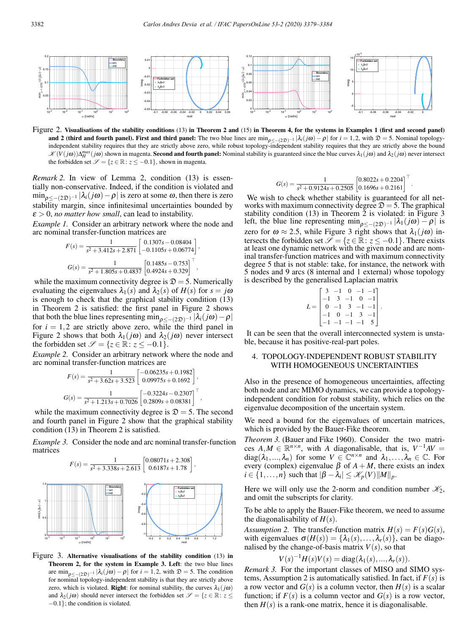

Figure 2. Visualisations of the stability conditions (13) in Theorem 2 and (15) in Theorem 4, for the systems in Examples 1 (first and second panel) and 2 (third and fourth panel). First and third panel: The two blue lines are  $\min_{\rho < -\{2\mathfrak{D}\}^{-1}} |\lambda_i(j\omega) - \rho|$  for  $i = 1, 2$ , with  $\mathfrak{D} = 5$ . Nominal topologyindependent stability requires that they are strictly above zero, while robust topology-independent stability requires that they are strictly above the bound  $\mathscr{K}(V(j\omega))\Delta_H^{max}(j\omega)$  shown in magenta. Second and fourth panel: Nominal stability is guaranteed since the blue curves  $\lambda_1(j\omega)$  and  $\lambda_2(j\omega)$  never intersect the forbidden set  $\mathscr{S} = \{z \in \mathbb{R} : z \leq -0.1\}$ , shown in magenta.

*Remark 2.* In view of Lemma 2, condition (13) is essentially non-conservative. Indeed, if the condition is violated and  $\min_{\rho \leq - (2\mathfrak{D})^{-1}} |\lambda_i(j\omega) - \rho|$  is zero at some  $\omega$ , then there is zero stability margin, since infinitesimal uncertainties bounded by  $\epsilon > 0$ , *no matter how small*, can lead to instability.

*Example 1.* Consider an arbitrary network where the node and arc nominal transfer-function matrices are

$$
F(s) = \frac{1}{s^2 + 3.412s + 2.871} \begin{bmatrix} 0.1307s - 0.08404 \\ -0.1105s + 0.06774 \end{bmatrix},
$$

$$
G(s) = \frac{1}{s^2 + 1.805s + 0.4837} \begin{bmatrix} 0.1485s - 0.753 \\ 0.4924s + 0.329 \end{bmatrix}^\top,
$$

while the maximum connectivity degree is  $\mathcal{D} = 5$ . Numerically evaluating the eigenvalues  $\lambda_1(s)$  and  $\lambda_2(s)$  of  $H(s)$  for  $s = j\omega$ is enough to check that the graphical stability condition (13) in Theorem 2 is satisfied: the first panel in Figure 2 shows that both the blue lines representing min<sub> $\rho \leq -(2\mathfrak{D})^{-1} |\lambda_i(j\omega)-\rho|$ </sub> for  $i = 1,2$  are strictly above zero, while the third panel in Figure 2 shows that both  $\lambda_1(j\omega)$  and  $\lambda_2(j\omega)$  never intersect the forbidden set  $\mathcal{S} = \{z \in \mathbb{R} : z \leq -0.1\}.$ 

*Example 2.* Consider an arbitrary network where the node and arc nominal transfer-function matrices are

$$
F(s) = \frac{1}{s^2 + 3.62s + 3.523} \begin{bmatrix} -0.06235s + 0.1982 \\ 0.09975s + 0.1692 \end{bmatrix},
$$
  
\n
$$
G(s) = \frac{1}{s^2 + 1.213s + 0.7026} \begin{bmatrix} -0.3224s - 0.2307 \\ 0.2809s + 0.08381 \end{bmatrix}^{\top}
$$

,

while the maximum connectivity degree is  $\mathcal{D} = 5$ . The second and fourth panel in Figure 2 show that the graphical stability condition (13) in Theorem 2 is satisfied.

*Example 3.* Consider the node and arc nominal transfer-function matrices



Figure 3. Alternative visualisations of the stability condition (13) in Theorem 2, for the system in Example 3. Left: the two blue lines are  $\min_{\rho \leq -(2\mathfrak{D})^{-1}} |\lambda_i(j\omega) - \rho|$  for  $i = 1, 2$ , with  $\mathfrak{D} = 5$ . The condition for nominal topology-independent stability is that they are strictly above zero, which is violated. **Right**: for nominal stability, the curves  $\lambda_1(j\omega)$ and  $\lambda_2(j\omega)$  should never intersect the forbidden set  $\mathscr{S} = \{z \in \mathbb{R} : z \leq 1\}$ −0.1}; the condition is violated.

$$
G(s) = \frac{1}{s^2 + 0.9124s + 0.2505} \begin{bmatrix} 0.8022s + 0.2204 \\ 0.1696s + 0.2161 \end{bmatrix}^\top
$$

.

We wish to check whether stability is guaranteed for all networks with maximum connectivity degree  $\mathcal{D} = 5$ . The graphical stability condition  $(13)$  in Theorem 2 is violated: in Figure 3 left, the blue line representing min<sub> $\rho \leq -(2\mathfrak{D})^{-1} |\lambda_1(j\omega) - \rho|$  is</sub> zero for  $\omega \approx 2.5$ , while Figure 3 right shows that  $\lambda_1(j\omega)$  intersects the forbidden set  $\overline{\mathscr{S}} = \{z \in \mathbb{R} : z \leq -0.1\}$ . There exists at least one dynamic network with the given node and arc nominal transfer-function matrices and with maximum connectivity degree 5 that is not stable: take, for instance, the network with 5 nodes and 9 arcs (8 internal and 1 external) whose topology is described by the generalised Laplacian matrix

$$
L = \begin{bmatrix} 3 & -1 & 0 & -1 & -1 \\ -1 & 3 & -1 & 0 & -1 \\ 0 & -1 & 3 & -1 & -1 \\ -1 & 0 & -1 & 3 & -1 \\ -1 & -1 & -1 & -1 & 5 \end{bmatrix}.
$$

It can be seen that the overall interconnected system is unstable, because it has positive-real-part poles.

## 4. TOPOLOGY-INDEPENDENT ROBUST STABILITY WITH HOMOGENEOUS UNCERTAINTIES

Also in the presence of homogeneous uncertainties, affecting both node and arc MIMO dynamics, we can provide a topologyindependent condition for robust stability, which relies on the eigenvalue decomposition of the uncertain system.

We need a bound for the eigenvalues of uncertain matrices, which is provided by the Bauer-Fike theorem.

*Theorem 3.* (Bauer and Fike 1960). Consider the two matrices  $A, M \in \mathbb{R}^{n \times n}$ , with *A* diagonalisable, that is,  $V^{-1}AV =$ diag( $\lambda_1, ..., \lambda_n$ ) for some  $V \in \mathbb{C}^{n \times n}$  and  $\lambda_1, ..., \lambda_n \in \mathbb{C}$ . For every (complex) eigenvalue  $\beta$  of  $A + M$ , there exists an index  $i \in \{1, \ldots, n\}$  such that  $|\beta - \lambda_i| \leq \mathcal{K}_p(V) ||M||_p$ .

Here we will only use the 2-norm and condition number  $\mathcal{K}_2$ , and omit the subscripts for clarity.

To be able to apply the Bauer-Fike theorem, we need to assume the diagonalisability of  $H(s)$ .

*Assumption 2.* The transfer-function matrix  $H(s) = F(s)G(s)$ , with eigenvalues  $\sigma(H(s)) = {\lambda_1(s), \ldots, \lambda_r(s)}$ , can be diagonalised by the change-of-basis matrix  $V(s)$ , so that

$$
V(s)^{-1}H(s)V(s) = \operatorname{diag}(\lambda_1(s),...,\lambda_r(s)).
$$

*Remark 3.* For the important classes of MISO and SIMO systems, Assumption 2 is automatically satisfied. In fact, if  $F(s)$  is a row vector and  $G(s)$  is a column vector, then  $H(s)$  is a scalar function; if  $F(s)$  is a column vector and  $G(s)$  is a row vector, then  $H(s)$  is a rank-one matrix, hence it is diagonalisable.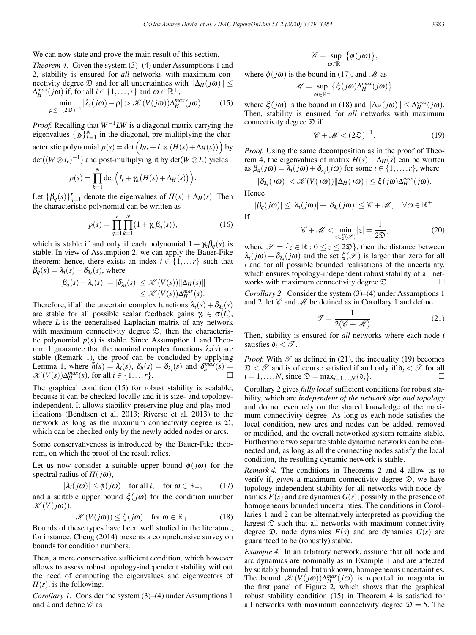We can now state and prove the main result of this section.

*Theorem 4.* Given the system (3)–(4) under Assumptions 1 and 2, stability is ensured for *all* networks with maximum connectivity degree  $\mathcal{D}$  and for all uncertainties with  $\|\Delta_H(j\omega)\|$  $\Delta_H^{max}(j\omega)$  if, for all  $i \in \{1, \ldots, r\}$  and  $\omega \in \mathbb{R}^+,$ 

$$
\min_{\rho \leq -(2\mathfrak{D})^{-1}} |\lambda_i(j\omega) - \rho| > \mathcal{K}(V(j\omega)) \Delta_H^{max}(j\omega).
$$
 (15)

*Proof.* Recalling that  $W^{-1}LW$  is a diagonal matrix carrying the eigenvalues  $\{\gamma_k\}_{k=1}^N$  in the diagonal, pre-multiplying the characteristic polynomial  $p(s) = \det \left( I_{Nr} + L \otimes (H(s) + \Delta_H(s)) \right)$  by det( $(W \otimes I_r)^{-1}$ ) and post-multiplying it by det( $W \otimes I_r$ ) yields

$$
p(s) = \prod_{k=1}^{N} \det \Big( I_r + \gamma_k \big( H(s) + \Delta_H(s) \big) \Big).
$$

Let  $\{\beta_q(s)\}_{q=1}^r$  denote the eigenvalues of  $H(s) + \Delta_H(s)$ . Then the characteristic polynomial can be written as

$$
p(s) = \prod_{q=1}^{r} \prod_{k=1}^{N} (1 + \gamma_k \beta_q(s)),
$$
 (16)

which is stable if and only if each polynomial  $1 + \gamma_k \beta_q(s)$  is stable. In view of Assumption 2, we can apply the Bauer-Fike theorem; hence, there exists an index  $i \in \{1, \ldots r\}$  such that  $\beta_q(s) = \lambda_i(s) + \delta_{\lambda_i}(s)$ , where

$$
|\beta_q(s) - \lambda_i(s)| = |\delta_{\lambda_i}(s)| \leq \mathcal{K}(V(s)) \|\Delta_H(s)\|
$$
  

$$
\leq \mathcal{K}(V(s)) \Delta_H^{max}(s).
$$

Therefore, if all the uncertain complex functions  $\lambda_i(s) + \delta_{\lambda_i}(s)$ are stable for all possible scalar feedback gains  $\gamma_k \in \sigma(L)$ , where *L* is the generalised Laplacian matrix of any network with maximum connectivity degree  $\mathcal{D}$ , then the characteristic polynomial  $p(s)$  is stable. Since Assumption 1 and Theorem 1 guarantee that the nominal complex functions  $\lambda_i(s)$  are stable (Remark 1), the proof can be concluded by applying Lemma 1, where  $h \overline{h}(s) = \lambda_i(s)$ ,  $\delta_h(s) = \delta_{\lambda_i}(s)$  and  $\delta_h^{\text{max}}(s) =$  $\mathscr{K}(V(s))\Delta_H^{max}(s)$ , for all  $i \in \{1,\ldots r\}$ .

The graphical condition (15) for robust stability is scalable, because it can be checked locally and it is size- and topologyindependent. It allows stability-preserving plug-and-play modifications (Bendtsen et al. 2013; Riverso et al. 2013) to the network as long as the maximum connectivity degree is  $\mathfrak{D}$ , which can be checked only by the newly added nodes or arcs.

Some conservativeness is introduced by the Bauer-Fike theorem, on which the proof of the result relies.

Let us now consider a suitable upper bound  $\phi(j\omega)$  for the spectral radius of  $H(j\omega)$ ,

$$
|\lambda_i(j\omega)| \le \phi(j\omega) \quad \text{for all } i, \quad \text{for } \omega \in \mathbb{R}_+, \qquad (17)
$$

and a suitable upper bound  $\xi(j\omega)$  for the condition number  $\mathscr{K}(V(j\omega)),$ 

$$
\mathscr{K}(V(j\omega)) \le \xi(j\omega) \quad \text{for } \omega \in \mathbb{R}_+.
$$
 (18)

Bounds of these types have been well studied in the literature; for instance, Cheng (2014) presents a comprehensive survey on bounds for condition numbers.

Then, a more conservative sufficient condition, which however allows to assess robust topology-independent stability without the need of computing the eigenvalues and eigenvectors of  $H(s)$ , is the following.

*Corollary 1.* Consider the system (3)–(4) under Assumptions 1 and 2 and define  $\mathscr C$  as

$$
\mathscr{C}=\sup_{\omega\in\mathbb{R}^+}\big\{\phi(j\omega)\big\},
$$

where  $\phi(j\omega)$  is the bound in (17), and *M* as

$$
\mathscr{M} = \sup_{\omega \in \mathbb{R}^+} \left\{ \xi(j\omega) \Delta_H^{max}(j\omega) \right\},\
$$

where  $\xi(j\omega)$  is the bound in (18) and  $\|\Delta_H(j\omega)\| \leq \Delta_H^{max}(j\omega)$ . Then, stability is ensured for *all* networks with maximum connectivity degree  $\mathcal{D}$  if

$$
\mathscr{C} + \mathscr{M} < (2\mathfrak{D})^{-1}.\tag{19}
$$

*Proof.* Using the same decomposition as in the proof of Theorem 4, the eigenvalues of matrix  $H(s) + \Delta_H(s)$  can be written as  $\beta_q(j\omega) = \lambda_i(j\omega) + \delta_{\lambda_i}(j\omega)$  for some  $i \in \{1, ..., r\}$ , where

$$
|\delta_{\lambda_i}(j\omega)| < \mathscr{K}(V(j\omega)) ||\Delta_H(j\omega)|| \leq \xi(j\omega)\Delta_H^{max}(j\omega).
$$

Hence

$$
|\beta_q(j\omega)| \leq |\lambda_i(j\omega)| + |\delta_{\lambda_i}(j\omega)| \leq \mathscr{C} + \mathscr{M}, \quad \forall \omega \in \mathbb{R}^+.
$$

If

$$
\mathscr{C} + \mathscr{M} < \min_{z \in \zeta(\mathscr{S})} |z| = \frac{1}{2\mathfrak{D}},\tag{20}
$$

where  $\mathscr{S} = \{z \in \mathbb{R} : 0 \le z \le 2\mathfrak{D}\}\,$ , then the distance between  $\lambda_i(j\omega) + \delta_{\lambda_i}(j\omega)$  and the set  $\zeta(\mathscr{S})$  is larger than zero for all *i* and for all possible bounded realisations of the uncertainty, which ensures topology-independent robust stability of all networks with maximum connectivity degree  $\mathfrak{D}$ .

*Corollary 2.* Consider the system (3)–(4) under Assumptions 1 and 2, let  $\mathscr C$  and  $\mathscr M$  be defined as in Corollary 1 and define

$$
\mathcal{T} = \frac{1}{2(\mathcal{C} + \mathcal{M})}.
$$
 (21)

Then, stability is ensured for *all* networks where each node *i* satisfies  $\mathfrak{d}_i < \mathcal{T}$ .

*Proof.* With  $\mathscr T$  as defined in (21), the inequality (19) becomes  $\mathcal{D} < \mathcal{T}$  and is of course satisfied if and only if  $\mathfrak{d}_i < \mathcal{T}$  for all  $i = 1$   $N$  since  $\mathfrak{D} = \max_{i=1}^{\infty} N_i \mathfrak{d}_i$  $i = 1, \ldots, N$ , since  $\mathfrak{D} = \max_{i=1,\ldots,N} \{\mathfrak{d}_i\}.$ 

Corollary 2 gives *fully local* sufficient conditions for robust stability, which are *independent of the network size and topology* and do not even rely on the shared knowledge of the maximum connectivity degree. As long as each node satisfies the local condition, new arcs and nodes can be added, removed or modified, and the overall networked system remains stable. Furthermore two separate stable dynamic networks can be connected and, as long as all the connecting nodes satisfy the local condition, the resulting dynamic network is stable.

*Remark 4.* The conditions in Theorems 2 and 4 allow us to verify if, *given* a maximum connectivity degree D, we have topology-independent stability for all networks with node dynamics  $F(s)$  and arc dynamics  $G(s)$ , possibly in the presence of homogeneous bounded uncertainties. The conditions in Corollaries 1 and 2 can be alternatively interpreted as providing the largest  $D$  such that all networks with maximum connectivity degree  $\mathfrak{D}$ , node dynamics  $F(s)$  and arc dynamics  $G(s)$  are guaranteed to be (robustly) stable.

*Example 4.* In an arbitrary network, assume that all node and arc dynamics are nominally as in Example 1 and are affected by suitably bounded, but unknown, homogeneous uncertainties. The bound  $\mathscr{K}(V(j\omega))\Delta_H^{max}(j\omega)$  is reported in magenta in the first panel of Figure 2, which shows that the graphical robust stability condition (15) in Theorem 4 is satisfied for all networks with maximum connectivity degree  $\mathcal{D} = 5$ . The